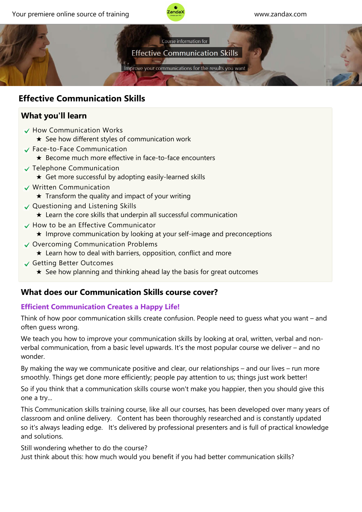



# **Effective Communication Skills**

# **What you'll learn**

- $\checkmark$  How Communication Works
	- ★ See how different styles of communication work
- Face‐to‐Face Communication
	- ★ Become much more effective in face‐to‐face encounters
- $\checkmark$  Telephone Communication
	- ★ Get more successful by adopting easily‐learned skills
- Written Communication
	- $\star$  Transform the quality and impact of your writing
- $\vee$  Questioning and Listening Skills
	- ★ Learn the core skills that underpin all successful communication
- $\checkmark$  How to be an Effective Communicator
	- ★ Improve communication by looking at your self‐image and preconceptions
- Overcoming Communication Problems
	- $\star$  Learn how to deal with barriers, opposition, conflict and more
- Getting Better Outcomes
	- $\star$  See how planning and thinking ahead lay the basis for great outcomes

# **What does our Communication Skills course cover?**

## **Efficient Communication Creates a Happy Life!**

Think of how poor communication skills create confusion. People need to guess what you want – and often guess wrong.

We teach you how to improve your communication skills by looking at oral, written, verbal and nonverbal communication, from a basic level upwards. It's the most popular course we deliver – and no wonder.

By making the way we communicate positive and clear, our relationships – and our lives – run more smoothly. Things get done more efficiently; people pay attention to us; things just work better!

So if you think that a communication skills course won't make you happier, then you should give this one a try...

This Communication skills training course, like all our courses, has been developed over many years of classroom and online delivery. Content has been thoroughly researched and is constantly updated so it's always leading edge. It's delivered by professional presenters and is full of practical knowledge and solutions.

Still wondering whether to do the course?

Just think about this: how much would you benefit if you had better communication skills?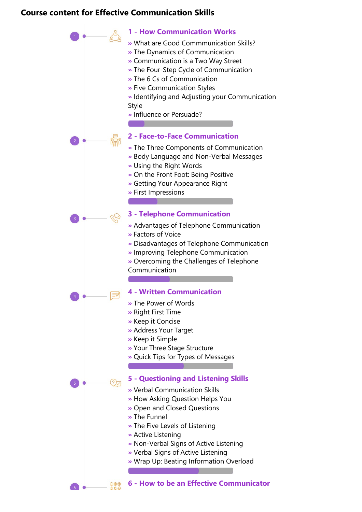#### **Course content for Effective Communication Skills**



**6 ‐ How to be an Effective Communicator**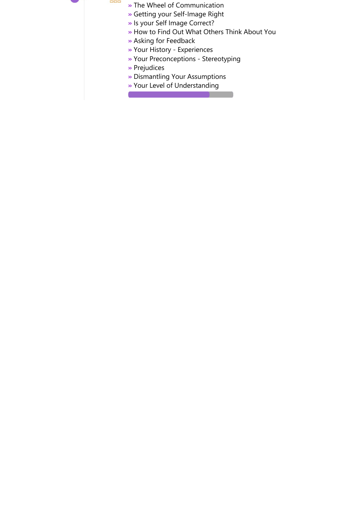

- **»** The Wheel of Communication
- **»** Getting your Self‐Image Right
- **»** Is your Self Image Correct?
- **»** How to Find Out What Others Think About You
- **»** Asking for Feedback
- **»** Your History ‐ Experiences
- **»** Your Preconceptions ‐ Stereotyping
- **»** Prejudices
- **»** Dismantling Your Assumptions
- **»** Your Level of Understanding

Contract the contract of the contract of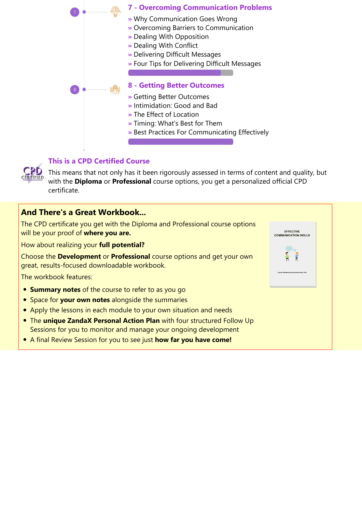



### **This is a CPD Certified Course**

This means that not only has it been rigorously assessed in terms of content and quality, but with the **Diploma** or **Professional** course options, you get a personalized official CPD certificate.

## **And There's a Great Workbook...**

The CPD certificate you get with the Diploma and Professional course options will be your proof of **where you are.**

How about realizing your **full potential?**

Choose the **Development** or **Professional** course options and get your own great, results‐focused downloadable workbook.

The workbook features:

- **Summary notes** of the course to refer to as you go
- **Space for your own notes** alongside the summaries
- Apply the lessons in each module to your own situation and needs
- The **unique ZandaX Personal Action Plan** with four structured Follow Up Sessions for you to monitor and manage your ongoing development
- A final Review Session for you to see just **how far you have come!**

| <b>COMMUNICATION SKILLS</b>              |  |
|------------------------------------------|--|
|                                          |  |
| Course Workbook and Personal Action Plan |  |